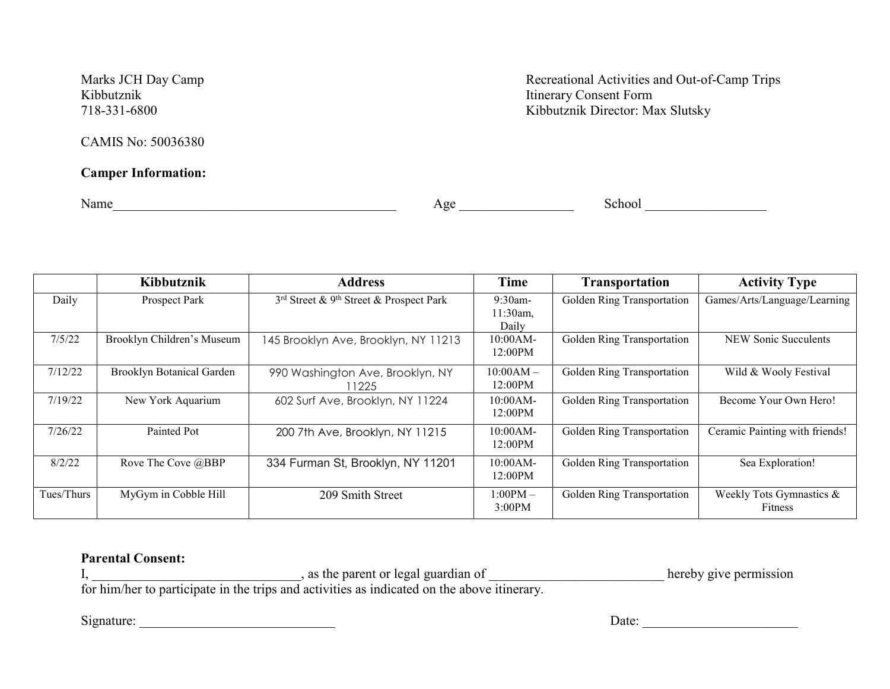CAMIS No: 50036380

# **Camper Information:**

Marks JCH Day Camp<br>
Kibbutznik<br>
Kibbutznik<br>
Recreational Activities and Out-of-Camp Trips<br>
Ribbutznik<br>
Ribbutznik<br>
Ribbutznik **Itinerary Consent Form** 718-331-6800 Kibbutznik Director: Max Slutsky

Name\_\_\_\_\_\_\_\_\_\_\_\_\_\_\_\_\_\_\_\_\_\_\_\_\_\_\_\_\_\_\_\_\_\_\_\_\_\_\_\_\_\_ Age \_\_\_\_\_\_\_\_\_\_\_\_\_\_\_\_\_ School \_\_\_\_\_\_\_\_\_\_\_\_\_\_\_\_\_\_

|            | Kibbutznik                 | <b>Address</b>                          | <b>Time</b> | <b>Transportation</b>      | <b>Activity Type</b>           |
|------------|----------------------------|-----------------------------------------|-------------|----------------------------|--------------------------------|
| Daily      | Prospect Park              | 3rd Street & 9th Street & Prospect Park | 9:30am-     | Golden Ring Transportation | Games/Arts/Language/Learning   |
|            |                            |                                         | $11:30am$ , |                            |                                |
|            |                            |                                         | Daily       |                            |                                |
| 7/5/22     | Brooklyn Children's Museum | 145 Brooklyn Ave, Brooklyn, NY 11213    | 10:00AM-    | Golden Ring Transportation | <b>NEW Sonic Succulents</b>    |
|            |                            |                                         | 12:00PM     |                            |                                |
| 7/12/22    | Brooklyn Botanical Garden  | 990 Washington Ave, Brooklyn, NY        | $10:00AM -$ | Golden Ring Transportation | Wild & Wooly Festival          |
|            |                            | 11225                                   | 12:00PM     |                            |                                |
| 7/19/22    | New York Aquarium          | 602 Surf Ave, Brooklyn, NY 11224        | $10:00AM-$  | Golden Ring Transportation | Become Your Own Hero!          |
|            |                            |                                         | 12:00PM     |                            |                                |
| 7/26/22    | Painted Pot                | 200 7th Ave, Brooklyn, NY 11215         | 10:00AM-    | Golden Ring Transportation | Ceramic Painting with friends! |
|            |                            |                                         | 12:00PM     |                            |                                |
| 8/2/22     | Rove The Cove @BBP         | 334 Furman St, Brooklyn, NY 11201       | 10:00AM-    | Golden Ring Transportation | Sea Exploration!               |
|            |                            |                                         | 12:00PM     |                            |                                |
| Tues/Thurs | MyGym in Cobble Hill       | 209 Smith Street                        | $1:00PM-$   | Golden Ring Transportation | Weekly Tots Gymnastics &       |
|            |                            |                                         | 3:00PM      |                            | Fitness                        |

## **Parental Consent:**

I, \_\_\_\_\_\_\_\_\_\_\_\_\_\_\_\_\_\_\_\_\_\_\_\_\_\_\_\_, as the parent or legal guardian of \_\_\_\_\_\_\_\_\_\_\_\_\_\_\_\_\_\_\_\_\_\_\_\_\_\_\_\_\_\_hereby give permission for him/her to participate in the trips and activities as indicated on the above itinerary.

Signature: \_\_\_\_\_\_\_\_\_\_\_\_\_\_\_\_\_\_\_\_\_\_\_\_\_\_\_\_\_ Date: \_\_\_\_\_\_\_\_\_\_\_\_\_\_\_\_\_\_\_\_\_\_\_